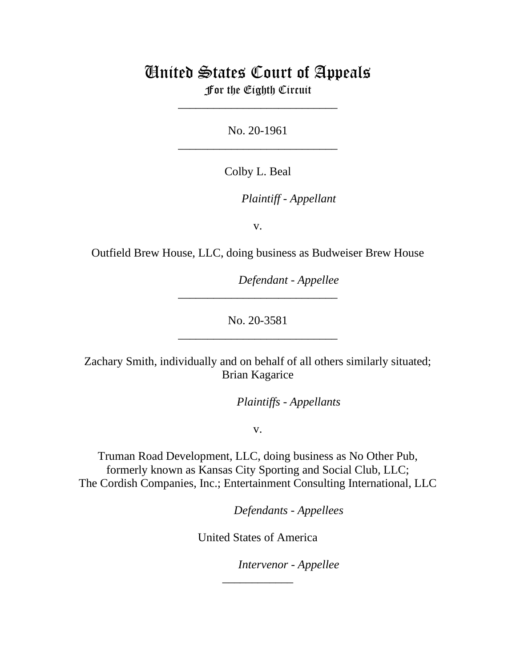## United States Court of Appeals

For the Eighth Circuit \_\_\_\_\_\_\_\_\_\_\_\_\_\_\_\_\_\_\_\_\_\_\_\_\_\_\_

No. 20-1961 \_\_\_\_\_\_\_\_\_\_\_\_\_\_\_\_\_\_\_\_\_\_\_\_\_\_\_

Colby L. Beal

*Plaintiff - Appellant*

v.

Outfield Brew House, LLC, doing business as Budweiser Brew House

*Defendant - Appellee*

No. 20-3581 \_\_\_\_\_\_\_\_\_\_\_\_\_\_\_\_\_\_\_\_\_\_\_\_\_\_\_

\_\_\_\_\_\_\_\_\_\_\_\_\_\_\_\_\_\_\_\_\_\_\_\_\_\_\_

Zachary Smith, individually and on behalf of all others similarly situated; Brian Kagarice

*Plaintiffs - Appellants*

v.

Truman Road Development, LLC, doing business as No Other Pub, formerly known as Kansas City Sporting and Social Club, LLC; The Cordish Companies, Inc.; Entertainment Consulting International, LLC

*Defendants - Appellees*

United States of America

\_\_\_\_\_\_\_\_\_\_\_\_

*Intervenor - Appellee*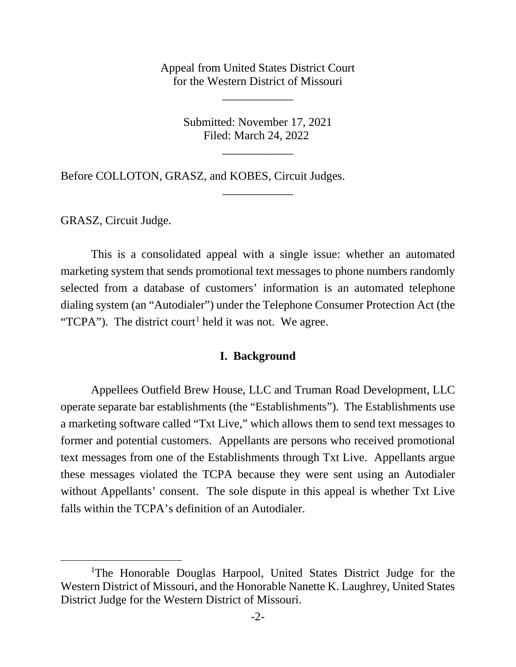Appeal from United States District Court for the Western District of Missouri

\_\_\_\_\_\_\_\_\_\_\_\_

Submitted: November 17, 2021 Filed: March 24, 2022

\_\_\_\_\_\_\_\_\_\_\_\_

\_\_\_\_\_\_\_\_\_\_\_\_

Before COLLOTON, GRASZ, and KOBES, Circuit Judges.

GRASZ, Circuit Judge.

This is a consolidated appeal with a single issue: whether an automated marketing system that sends promotional text messages to phone numbers randomly selected from a database of customers' information is an automated telephone dialing system (an "Autodialer") under the Telephone Consumer Protection Act (the "TCPA"). The district court<sup>[1](#page-1-0)</sup> held it was not. We agree.

## **I. Background**

Appellees Outfield Brew House, LLC and Truman Road Development, LLC operate separate bar establishments (the "Establishments"). The Establishments use a marketing software called "Txt Live," which allows them to send text messages to former and potential customers. Appellants are persons who received promotional text messages from one of the Establishments through Txt Live. Appellants argue these messages violated the TCPA because they were sent using an Autodialer without Appellants' consent. The sole dispute in this appeal is whether Txt Live falls within the TCPA's definition of an Autodialer.

<span id="page-1-0"></span><sup>&</sup>lt;sup>1</sup>The Honorable Douglas Harpool, United States District Judge for the Western District of Missouri, and the Honorable Nanette K. Laughrey, United States District Judge for the Western District of Missouri.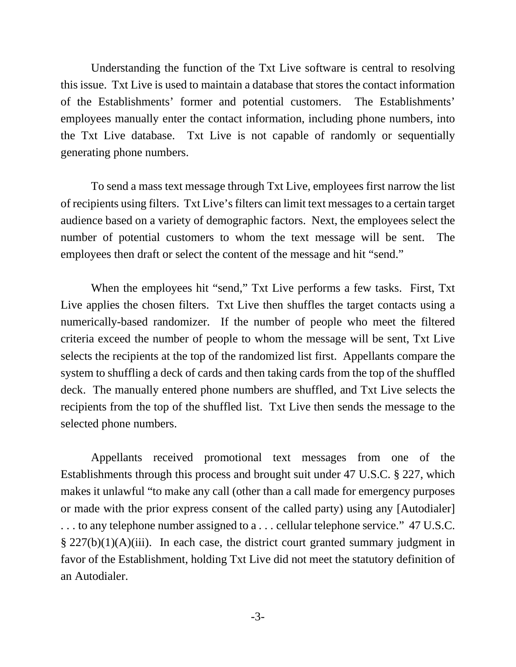Understanding the function of the Txt Live software is central to resolving this issue. Txt Live is used to maintain a database that stores the contact information of the Establishments' former and potential customers. The Establishments' employees manually enter the contact information, including phone numbers, into the Txt Live database. Txt Live is not capable of randomly or sequentially generating phone numbers.

To send a mass text message through Txt Live, employees first narrow the list of recipients using filters. Txt Live's filters can limit text messages to a certain target audience based on a variety of demographic factors. Next, the employees select the number of potential customers to whom the text message will be sent. The employees then draft or select the content of the message and hit "send."

When the employees hit "send," Txt Live performs a few tasks. First, Txt Live applies the chosen filters. Txt Live then shuffles the target contacts using a numerically-based randomizer. If the number of people who meet the filtered criteria exceed the number of people to whom the message will be sent, Txt Live selects the recipients at the top of the randomized list first. Appellants compare the system to shuffling a deck of cards and then taking cards from the top of the shuffled deck. The manually entered phone numbers are shuffled, and Txt Live selects the recipients from the top of the shuffled list. Txt Live then sends the message to the selected phone numbers.

Appellants received promotional text messages from one of the Establishments through this process and brought suit under 47 U.S.C. § 227, which makes it unlawful "to make any call (other than a call made for emergency purposes or made with the prior express consent of the called party) using any [Autodialer] . . . to any telephone number assigned to a . . . cellular telephone service." 47 U.S.C.  $\S 227(b)(1)(A)(iii)$ . In each case, the district court granted summary judgment in favor of the Establishment, holding Txt Live did not meet the statutory definition of an Autodialer.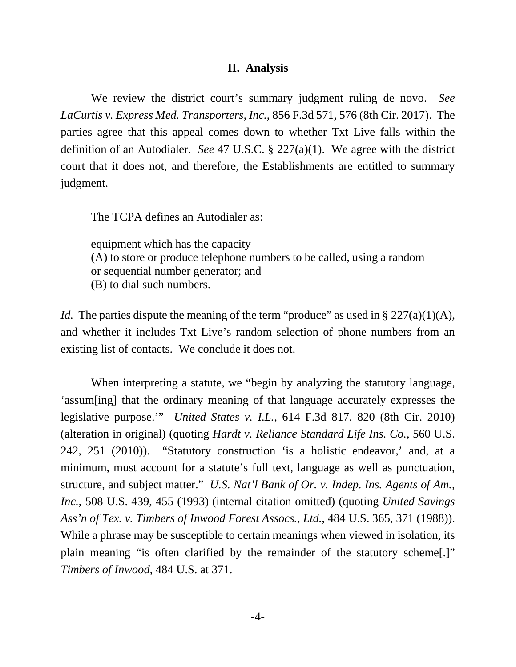## **II. Analysis**

We review the district court's summary judgment ruling de novo. *See LaCurtis v. Express Med. Transporters, Inc.*, 856 F.3d 571, 576 (8th Cir. 2017). The parties agree that this appeal comes down to whether Txt Live falls within the definition of an Autodialer. *See* 47 U.S.C. § 227(a)(1). We agree with the district court that it does not, and therefore, the Establishments are entitled to summary judgment.

The TCPA defines an Autodialer as:

equipment which has the capacity— (A) to store or produce telephone numbers to be called, using a random or sequential number generator; and (B) to dial such numbers.

*Id.* The parties dispute the meaning of the term "produce" as used in § 227(a)(1)(A), and whether it includes Txt Live's random selection of phone numbers from an existing list of contacts. We conclude it does not.

When interpreting a statute, we "begin by analyzing the statutory language, 'assum[ing] that the ordinary meaning of that language accurately expresses the legislative purpose.'" *United States v. I.L.*, 614 F.3d 817, 820 (8th Cir. 2010) (alteration in original) (quoting *Hardt v. Reliance Standard Life Ins. Co.*, 560 U.S. 242, 251 (2010)). "Statutory construction 'is a holistic endeavor,' and, at a minimum, must account for a statute's full text, language as well as punctuation, structure, and subject matter." *U.S. Nat'l Bank of Or. v. Indep. Ins. Agents of Am., Inc.*, 508 U.S. 439, 455 (1993) (internal citation omitted) (quoting *United Savings Ass'n of Tex. v. Timbers of Inwood Forest Assocs., Ltd.*, 484 U.S. 365, 371 (1988)). While a phrase may be susceptible to certain meanings when viewed in isolation, its plain meaning "is often clarified by the remainder of the statutory scheme[.]" *Timbers of Inwood*, 484 U.S. at 371.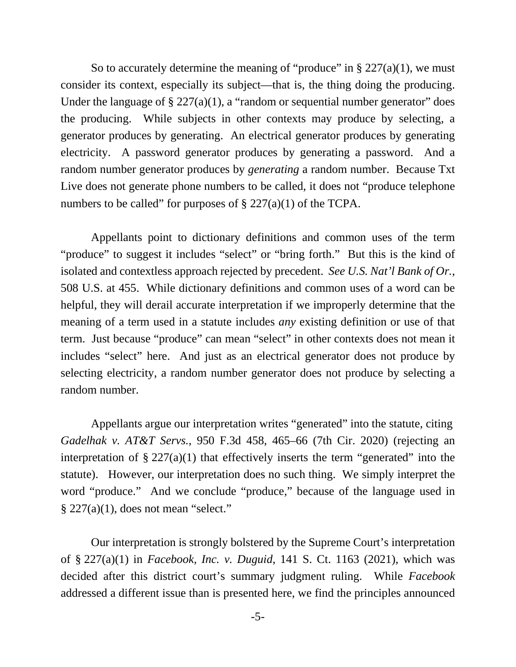So to accurately determine the meaning of "produce" in  $\S 227(a)(1)$ , we must consider its context, especially its subject—that is, the thing doing the producing. Under the language of  $\S 227(a)(1)$ , a "random or sequential number generator" does the producing. While subjects in other contexts may produce by selecting, a generator produces by generating. An electrical generator produces by generating electricity. A password generator produces by generating a password. And a random number generator produces by *generating* a random number. Because Txt Live does not generate phone numbers to be called, it does not "produce telephone numbers to be called" for purposes of  $\S 227(a)(1)$  of the TCPA.

Appellants point to dictionary definitions and common uses of the term "produce" to suggest it includes "select" or "bring forth." But this is the kind of isolated and contextless approach rejected by precedent. *See U.S. Nat'l Bank of Or.*, 508 U.S. at 455. While dictionary definitions and common uses of a word can be helpful, they will derail accurate interpretation if we improperly determine that the meaning of a term used in a statute includes *any* existing definition or use of that term. Just because "produce" can mean "select" in other contexts does not mean it includes "select" here. And just as an electrical generator does not produce by selecting electricity, a random number generator does not produce by selecting a random number.

Appellants argue our interpretation writes "generated" into the statute, citing *Gadelhak v. AT&T Servs.*, 950 F.3d 458, 465–66 (7th Cir. 2020) (rejecting an interpretation of  $\S 227(a)(1)$  that effectively inserts the term "generated" into the statute). However, our interpretation does no such thing. We simply interpret the word "produce." And we conclude "produce," because of the language used in  $§$  227(a)(1), does not mean "select."

Our interpretation is strongly bolstered by the Supreme Court's interpretation of § 227(a)(1) in *Facebook, Inc. v. Duguid*, 141 S. Ct. 1163 (2021), which was decided after this district court's summary judgment ruling. While *Facebook*  addressed a different issue than is presented here, we find the principles announced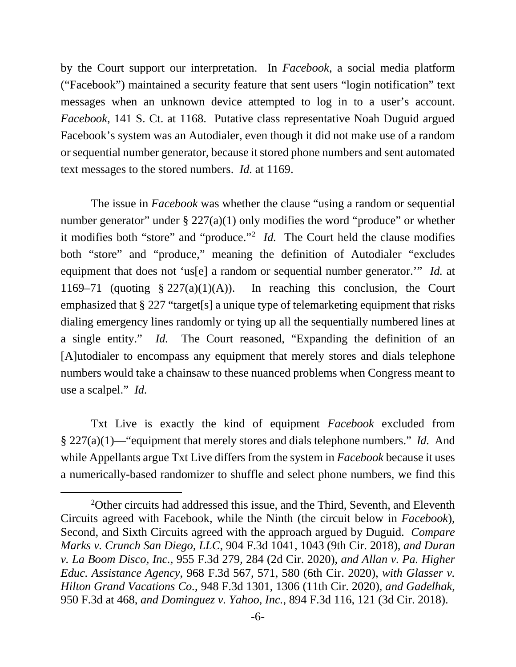by the Court support our interpretation. In *Facebook*, a social media platform ("Facebook") maintained a security feature that sent users "login notification" text messages when an unknown device attempted to log in to a user's account. *Facebook*, 141 S. Ct. at 1168. Putative class representative Noah Duguid argued Facebook's system was an Autodialer, even though it did not make use of a random or sequential number generator, because it stored phone numbers and sent automated text messages to the stored numbers. *Id.* at 1169.

The issue in *Facebook* was whether the clause "using a random or sequential number generator" under  $\S 227(a)(1)$  only modifies the word "produce" or whether it modifies both "store" and "produce."[2](#page-5-0) *Id.* The Court held the clause modifies both "store" and "produce," meaning the definition of Autodialer "excludes equipment that does not 'us[e] a random or sequential number generator.'" *Id.* at 1169–71 (quoting  $\S 227(a)(1)(A)$ ). In reaching this conclusion, the Court emphasized that § 227 "target[s] a unique type of telemarketing equipment that risks dialing emergency lines randomly or tying up all the sequentially numbered lines at a single entity." *Id.* The Court reasoned, "Expanding the definition of an [A]utodialer to encompass any equipment that merely stores and dials telephone numbers would take a chainsaw to these nuanced problems when Congress meant to use a scalpel." *Id.* 

Txt Live is exactly the kind of equipment *Facebook* excluded from § 227(a)(1)—"equipment that merely stores and dials telephone numbers." *Id.* And while Appellants argue Txt Live differs from the system in *Facebook* because it uses a numerically-based randomizer to shuffle and select phone numbers, we find this

<span id="page-5-0"></span><sup>&</sup>lt;sup>2</sup>Other circuits had addressed this issue, and the Third, Seventh, and Eleventh Circuits agreed with Facebook, while the Ninth (the circuit below in *Facebook*), Second, and Sixth Circuits agreed with the approach argued by Duguid. *Compare Marks v. Crunch San Diego, LLC*, 904 F.3d 1041, 1043 (9th Cir. 2018), *and Duran v. La Boom Disco, Inc.*, 955 F.3d 279, 284 (2d Cir. 2020), *and Allan v. Pa. Higher Educ. Assistance Agency*, 968 F.3d 567, 571, 580 (6th Cir. 2020), *with Glasser v. Hilton Grand Vacations Co.*, 948 F.3d 1301, 1306 (11th Cir. 2020), *and Gadelhak*, 950 F.3d at 468, *and Dominguez v. Yahoo, Inc.*, 894 F.3d 116, 121 (3d Cir. 2018).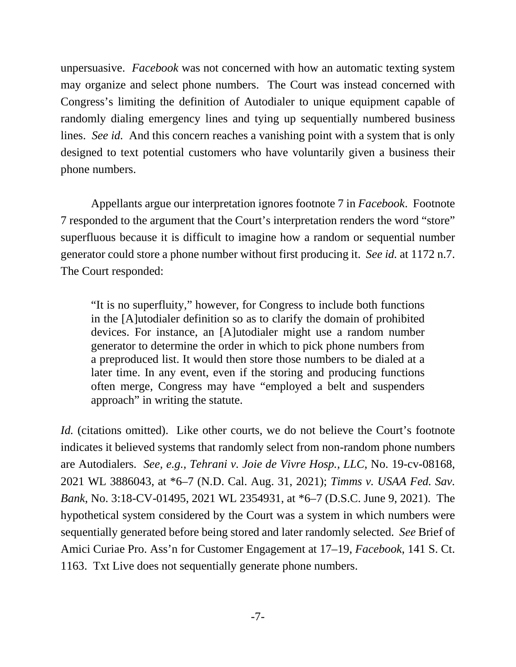unpersuasive. *Facebook* was not concerned with how an automatic texting system may organize and select phone numbers. The Court was instead concerned with Congress's limiting the definition of Autodialer to unique equipment capable of randomly dialing emergency lines and tying up sequentially numbered business lines. *See id.* And this concern reaches a vanishing point with a system that is only designed to text potential customers who have voluntarily given a business their phone numbers.

Appellants argue our interpretation ignores footnote 7 in *Facebook*. Footnote 7 responded to the argument that the Court's interpretation renders the word "store" superfluous because it is difficult to imagine how a random or sequential number generator could store a phone number without first producing it. *See id.* at 1172 n.7. The Court responded:

"It is no superfluity," however, for Congress to include both functions in the [A]utodialer definition so as to clarify the domain of prohibited devices. For instance, an [A]utodialer might use a random number generator to determine the order in which to pick phone numbers from a preproduced list. It would then store those numbers to be dialed at a later time. In any event, even if the storing and producing functions often merge, Congress may have "employed a belt and suspenders approach" in writing the statute.

*Id.* (citations omitted). Like other courts, we do not believe the Court's footnote indicates it believed systems that randomly select from non-random phone numbers are Autodialers. *See, e.g., Tehrani v. Joie de Vivre Hosp., LLC*, No. 19-cv-08168, 2021 WL 3886043, at \*6–7 (N.D. Cal. Aug. 31, 2021); *Timms v. USAA Fed. Sav. Bank*, No. 3:18-CV-01495, 2021 WL 2354931, at \*6–7 (D.S.C. June 9, 2021). The hypothetical system considered by the Court was a system in which numbers were sequentially generated before being stored and later randomly selected. *See* Brief of Amici Curiae Pro. Ass'n for Customer Engagement at 17–19, *Facebook*, 141 S. Ct. 1163. Txt Live does not sequentially generate phone numbers.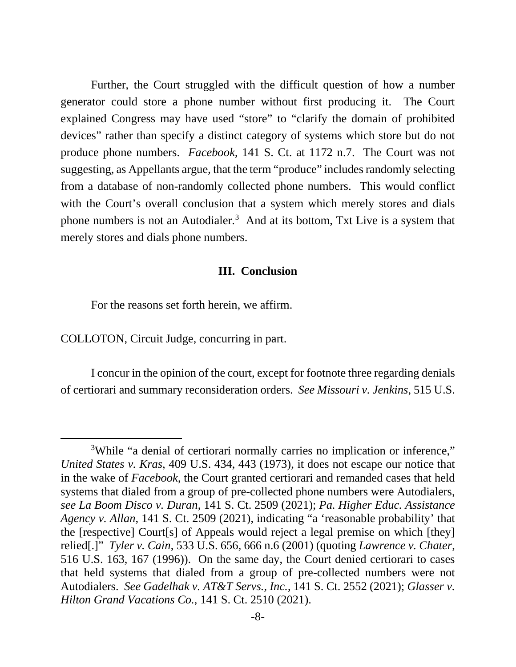Further, the Court struggled with the difficult question of how a number generator could store a phone number without first producing it. The Court explained Congress may have used "store" to "clarify the domain of prohibited devices" rather than specify a distinct category of systems which store but do not produce phone numbers. *Facebook*, 141 S. Ct. at 1172 n.7. The Court was not suggesting, as Appellants argue, that the term "produce" includes randomly selecting from a database of non-randomly collected phone numbers. This would conflict with the Court's overall conclusion that a system which merely stores and dials phone numbers is not an Autodialer.<sup>[3](#page-7-0)</sup> And at its bottom, Txt Live is a system that merely stores and dials phone numbers.

## **III. Conclusion**

For the reasons set forth herein, we affirm.

COLLOTON, Circuit Judge, concurring in part.

I concur in the opinion of the court, except for footnote three regarding denials of certiorari and summary reconsideration orders. *See Missouri v. Jenkins*, 515 U.S.

<span id="page-7-0"></span><sup>&</sup>lt;sup>3</sup>While "a denial of certiorari normally carries no implication or inference," *United States v. Kras*, 409 U.S. 434, 443 (1973), it does not escape our notice that in the wake of *Facebook,* the Court granted certiorari and remanded cases that held systems that dialed from a group of pre-collected phone numbers were Autodialers, *see La Boom Disco v. Duran*, 141 S. Ct. 2509 (2021); *Pa. Higher Educ. Assistance Agency v. Allan*, 141 S. Ct. 2509 (2021), indicating "a 'reasonable probability' that the [respective] Court[s] of Appeals would reject a legal premise on which [they] relied[.]" *Tyler v. Cain*, 533 U.S. 656, 666 n.6 (2001) (quoting *Lawrence v. Chater*, 516 U.S. 163, 167 (1996)). On the same day, the Court denied certiorari to cases that held systems that dialed from a group of pre-collected numbers were not Autodialers. *See Gadelhak v. AT&T Servs., Inc.*, 141 S. Ct. 2552 (2021); *Glasser v. Hilton Grand Vacations Co.*, 141 S. Ct. 2510 (2021).